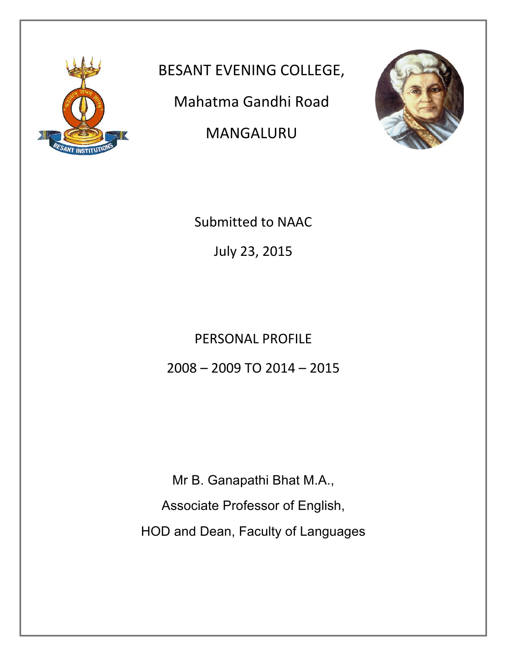

BESANT EVENING COLLEGE,

Mahatma Gandhi Road

MANGALURU



Submitted to NAAC

July 23, 2015

PERSONAL PROFILE  $2008 - 2009$  TO  $2014 - 2015$ 

Mr B. Ganapathi Bhat M.A., Associate Professor of English, HOD and Dean, Faculty of Languages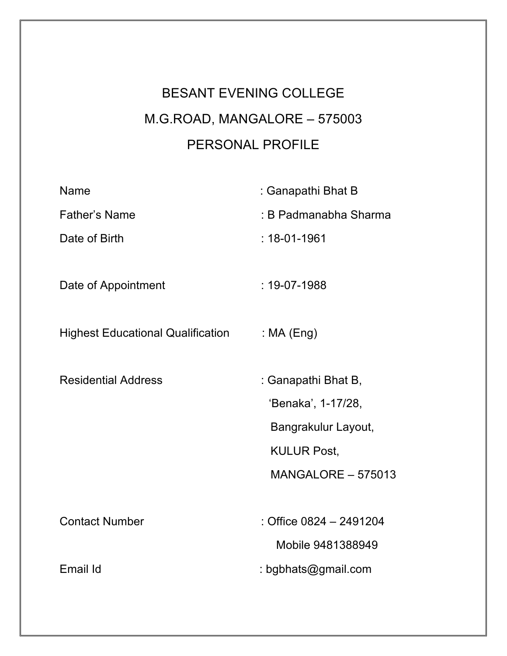# BESANT EVENING COLLEGE M.G.ROAD, MANGALORE – 575003 PERSONAL PROFILE

| <b>Name</b>                              | : Ganapathi Bhat B        |
|------------------------------------------|---------------------------|
| <b>Father's Name</b>                     | : B Padmanabha Sharma     |
| Date of Birth                            | $: 18 - 01 - 1961$        |
|                                          |                           |
| Date of Appointment                      | $: 19 - 07 - 1988$        |
|                                          |                           |
| <b>Highest Educational Qualification</b> | : $MA$ (Eng)              |
| <b>Residential Address</b>               |                           |
|                                          | : Ganapathi Bhat B,       |
|                                          | 'Benaka', 1-17/28,        |
|                                          | Bangrakulur Layout,       |
|                                          | <b>KULUR Post,</b>        |
|                                          | <b>MANGALORE - 575013</b> |
|                                          |                           |
| <b>Contact Number</b>                    | : Office 0824 - 2491204   |
|                                          | Mobile 9481388949         |
| Email Id                                 | : bgbhats@gmail.com       |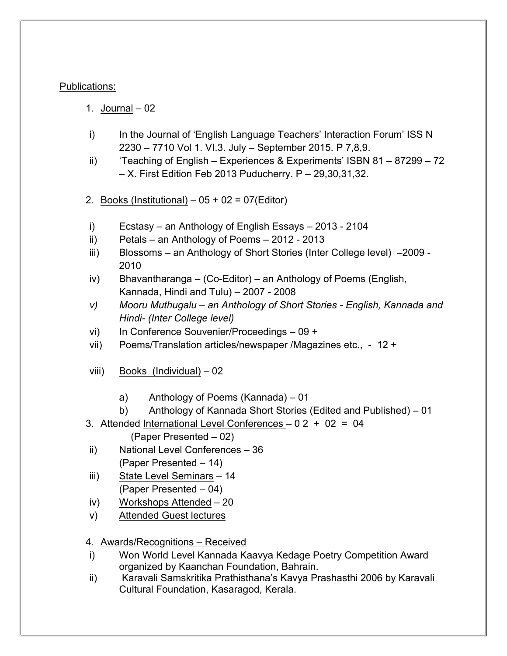## Publications:

- 1. Journal 02
- i) In the Journal of 'English Language Teachers' Interaction Forum' ISS N 2230 – 7710 Vol 1. VI.3. July – September 2015. P 7,8,9.
- ii) 'Teaching of English Experiences & Experiments' ISBN 81 87299 72 – X. First Edition Feb 2013 Puducherry. P – 29,30,31,32.
- 2. Books (Institutional)  $05 + 02 = 07$  (Editor)
- i) Ecstasy an Anthology of English Essays 2013 2104
- ii) Petals an Anthology of Poems 2012 2013
- iii) Blossoms an Anthology of Short Stories (Inter College level) –2009 2010
- iv) Bhavantharanga (Co-Editor) an Anthology of Poems (English, Kannada, Hindi and Tulu) – 2007 - 2008
- *v) Mooru Muthugalu – an Anthology of Short Stories - English, Kannada and Hindi- (Inter College level)*
- vi) In Conference Souvenier/Proceedings 09 +
- vii) Poems/Translation articles/newspaper /Magazines etc., 12 +
- viii) Books (Individual) 02
	- a) Anthology of Poems (Kannada) 01
	- b) Anthology of Kannada Short Stories (Edited and Published) 01
- 3. Attended International Level Conferences 0 2 + 02 = 04
	- (Paper Presented 02)
- ii) National Level Conferences 36 (Paper Presented – 14)
- iii) State Level Seminars 14 (Paper Presented – 04)
- iv) Workshops Attended 20
- v) Attended Guest lectures
- 4. Awards/Recognitions Received
- i) Won World Level Kannada Kaavya Kedage Poetry Competition Award organized by Kaanchan Foundation, Bahrain.
- ii) Karavali Samskritika Prathisthana's Kavya Prashasthi 2006 by Karavali Cultural Foundation, Kasaragod, Kerala.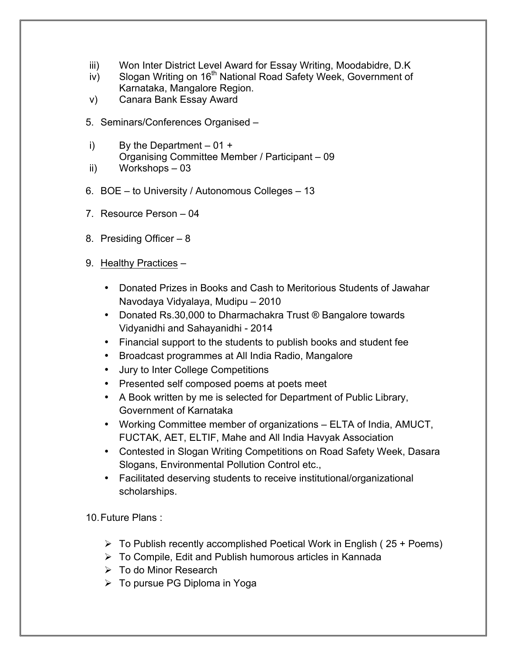- iii) Won Inter District Level Award for Essay Writing, Moodabidre, D.K
- $iv$ ) Slogan Writing on 16<sup>th</sup> National Road Safety Week, Government of Karnataka, Mangalore Region.
- v) Canara Bank Essay Award
- 5. Seminars/Conferences Organised –
- i) By the Department  $-01 +$ Organising Committee Member / Participant – 09 ii) Workshops – 03
- 
- 6. BOE to University / Autonomous Colleges 13
- 7. Resource Person 04
- 8. Presiding Officer 8
- 9. Healthy Practices
	- Donated Prizes in Books and Cash to Meritorious Students of Jawahar Navodaya Vidyalaya, Mudipu – 2010
	- Donated Rs.30,000 to Dharmachakra Trust ® Bangalore towards Vidyanidhi and Sahayanidhi - 2014
	- Financial support to the students to publish books and student fee
	- Broadcast programmes at All India Radio, Mangalore
	- Jury to Inter College Competitions
	- Presented self composed poems at poets meet
	- A Book written by me is selected for Department of Public Library, Government of Karnataka
	- Working Committee member of organizations ELTA of India, AMUCT, FUCTAK, AET, ELTIF, Mahe and All India Havyak Association
	- Contested in Slogan Writing Competitions on Road Safety Week, Dasara Slogans, Environmental Pollution Control etc.,
	- Facilitated deserving students to receive institutional/organizational scholarships.

10.Future Plans :

- $\triangleright$  To Publish recently accomplished Poetical Work in English (25 + Poems)
- $\triangleright$  To Compile, Edit and Publish humorous articles in Kannada
- $\triangleright$  To do Minor Research
- $\triangleright$  To pursue PG Diploma in Yoga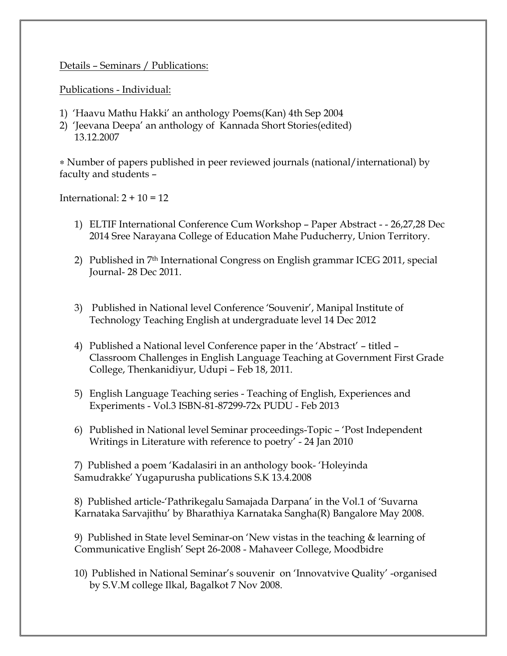Details – Seminars / Publications:

Publications - Individual:

- 1) 'Haavu Mathu Hakki' an anthology Poems(Kan) 4th Sep 2004
- 2) 'Jeevana Deepa' an anthology of Kannada Short Stories(edited) 13.12.2007

∗ Number of papers published in peer reviewed journals (national/international) by faculty and students –

International:  $2 + 10 = 12$ 

- 1) ELTIF International Conference Cum Workshop Paper Abstract - 26,27,28 Dec 2014 Sree Narayana College of Education Mahe Puducherry, Union Territory.
- 2) Published in 7th International Congress on English grammar ICEG 2011, special Journal- 28 Dec 2011.
- 3) Published in National level Conference 'Souvenir', Manipal Institute of Technology Teaching English at undergraduate level 14 Dec 2012
- 4) Published a National level Conference paper in the 'Abstract' titled Classroom Challenges in English Language Teaching at Government First Grade College, Thenkanidiyur, Udupi – Feb 18, 2011.
- 5) English Language Teaching series Teaching of English, Experiences and Experiments - Vol.3 ISBN-81-87299-72x PUDU - Feb 2013
- 6) Published in National level Seminar proceedings-Topic 'Post Independent Writings in Literature with reference to poetry' - 24 Jan 2010

7) Published a poem 'Kadalasiri in an anthology book- 'Holeyinda Samudrakke' Yugapurusha publications S.K 13.4.2008

8) Published article-'Pathrikegalu Samajada Darpana' in the Vol.1 of 'Suvarna Karnataka Sarvajithu' by Bharathiya Karnataka Sangha(R) Bangalore May 2008.

9) Published in State level Seminar-on 'New vistas in the teaching & learning of Communicative English' Sept 26-2008 - Mahaveer College, Moodbidre

10) Published in National Seminar's souvenir on 'Innovatvive Quality' -organised by S.V.M college Ilkal, Bagalkot 7 Nov 2008.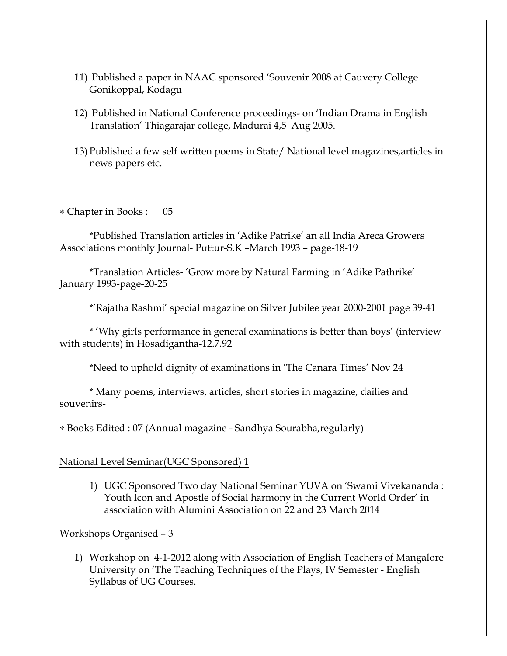- 11) Published a paper in NAAC sponsored 'Souvenir 2008 at Cauvery College Gonikoppal, Kodagu
- 12) Published in National Conference proceedings- on 'Indian Drama in English Translation' Thiagarajar college, Madurai 4,5 Aug 2005.
- 13) Published a few self written poems in State/ National level magazines,articles in news papers etc.

∗ Chapter in Books : 05

\*Published Translation articles in 'Adike Patrike' an all India Areca Growers Associations monthly Journal- Puttur-S.K –March 1993 – page-18-19

\*Translation Articles- 'Grow more by Natural Farming in 'Adike Pathrike' January 1993-page-20-25

\*'Rajatha Rashmi' special magazine on Silver Jubilee year 2000-2001 page 39-41

\* 'Why girls performance in general examinations is better than boys' (interview with students) in Hosadigantha-12.7.92

\*Need to uphold dignity of examinations in 'The Canara Times' Nov 24

\* Many poems, interviews, articles, short stories in magazine, dailies and souvenirs-

∗ Books Edited : 07 (Annual magazine - Sandhya Sourabha,regularly)

#### National Level Seminar(UGC Sponsored) 1

1) UGC Sponsored Two day National Seminar YUVA on 'Swami Vivekananda : Youth Icon and Apostle of Social harmony in the Current World Order' in association with Alumini Association on 22 and 23 March 2014

#### Workshops Organised – 3

1) Workshop on 4-1-2012 along with Association of English Teachers of Mangalore University on 'The Teaching Techniques of the Plays, IV Semester - English Syllabus of UG Courses.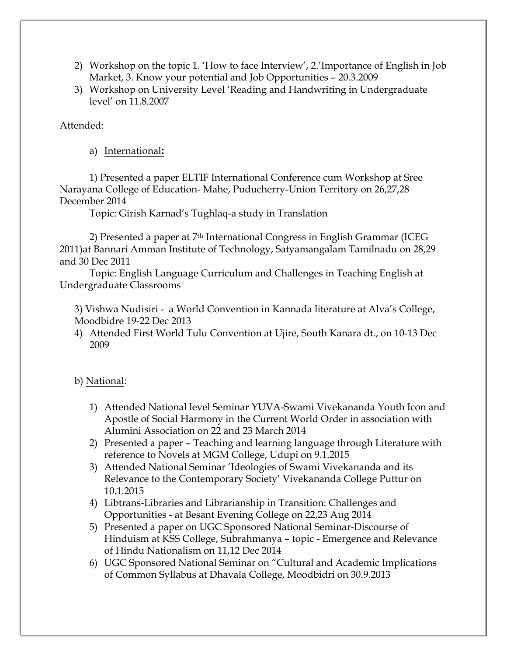- 2) Workshop on the topic 1. 'How to face Interview', 2.'Importance of English in Job Market, 3. Know your potential and Job Opportunities – 20.3.2009
- 3) Workshop on University Level 'Reading and Handwriting in Undergraduate level' on 11.8.2007

Attended:

a) International**:**

1) Presented a paper ELTIF International Conference cum Workshop at Sree Narayana College of Education- Mahe, Puducherry-Union Territory on 26,27,28 December 2014

Topic: Girish Karnad's Tughlaq-a study in Translation

2) Presented a paper at  $7<sup>th</sup>$  International Congress in English Grammar (ICEG 2011)at Bannari Amman Institute of Technology, Satyamangalam Tamilnadu on 28,29 and 30 Dec 2011

Topic: English Language Curriculum and Challenges in Teaching English at Undergraduate Classrooms

3) Vishwa Nudisiri - a World Convention in Kannada literature at Alva's College, Moodbidre 19-22 Dec 2013

4) Attended First World Tulu Convention at Ujire, South Kanara dt., on 10-13 Dec 2009

# b) National:

- 1) Attended National level Seminar YUVA-Swami Vivekananda Youth Icon and Apostle of Social Harmony in the Current World Order in association with Alumini Association on 22 and 23 March 2014
- 2) Presented a paper Teaching and learning language through Literature with reference to Novels at MGM College, Udupi on 9.1.2015
- 3) Attended National Seminar 'Ideologies of Swami Vivekananda and its Relevance to the Contemporary Society' Vivekananda College Puttur on 10.1.2015
- 4) Libtrans-Libraries and Librarianship in Transition: Challenges and Opportunities - at Besant Evening College on 22,23 Aug 2014
- 5) Presented a paper on UGC Sponsored National Seminar-Discourse of Hinduism at KSS College, Subrahmanya – topic - Emergence and Relevance of Hindu Nationalism on 11,12 Dec 2014
- 6) UGC Sponsored National Seminar on "Cultural and Academic Implications of Common Syllabus at Dhavala College, Moodbidri on 30.9.2013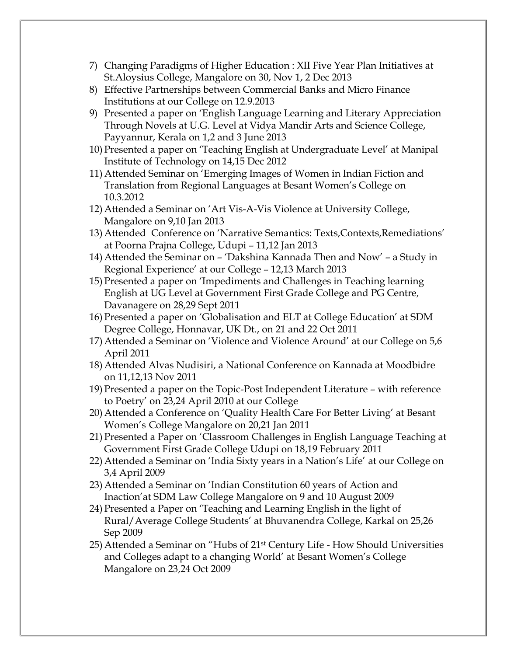- 7) Changing Paradigms of Higher Education : XII Five Year Plan Initiatives at St.Aloysius College, Mangalore on 30, Nov 1, 2 Dec 2013
- 8) Effective Partnerships between Commercial Banks and Micro Finance Institutions at our College on 12.9.2013
- 9) Presented a paper on 'English Language Learning and Literary Appreciation Through Novels at U.G. Level at Vidya Mandir Arts and Science College, Payyannur, Kerala on 1,2 and 3 June 2013
- 10) Presented a paper on 'Teaching English at Undergraduate Level' at Manipal Institute of Technology on 14,15 Dec 2012
- 11) Attended Seminar on 'Emerging Images of Women in Indian Fiction and Translation from Regional Languages at Besant Women's College on 10.3.2012
- 12) Attended a Seminar on 'Art Vis-A-Vis Violence at University College, Mangalore on 9,10 Jan 2013
- 13) Attended Conference on 'Narrative Semantics: Texts,Contexts,Remediations' at Poorna Prajna College, Udupi – 11,12 Jan 2013
- 14) Attended the Seminar on 'Dakshina Kannada Then and Now' a Study in Regional Experience' at our College – 12,13 March 2013
- 15) Presented a paper on 'Impediments and Challenges in Teaching learning English at UG Level at Government First Grade College and PG Centre, Davanagere on 28,29 Sept 2011
- 16) Presented a paper on 'Globalisation and ELT at College Education' at SDM Degree College, Honnavar, UK Dt., on 21 and 22 Oct 2011
- 17) Attended a Seminar on 'Violence and Violence Around' at our College on 5,6 April 2011
- 18) Attended Alvas Nudisiri, a National Conference on Kannada at Moodbidre on 11,12,13 Nov 2011
- 19) Presented a paper on the Topic-Post Independent Literature with reference to Poetry' on 23,24 April 2010 at our College
- 20) Attended a Conference on 'Quality Health Care For Better Living' at Besant Women's College Mangalore on 20,21 Jan 2011
- 21) Presented a Paper on 'Classroom Challenges in English Language Teaching at Government First Grade College Udupi on 18,19 February 2011
- 22) Attended a Seminar on 'India Sixty years in a Nation's Life' at our College on 3,4 April 2009
- 23) Attended a Seminar on 'Indian Constitution 60 years of Action and Inaction'at SDM Law College Mangalore on 9 and 10 August 2009
- 24) Presented a Paper on 'Teaching and Learning English in the light of Rural/Average College Students' at Bhuvanendra College, Karkal on 25,26 Sep 2009
- 25) Attended a Seminar on "Hubs of 21st Century Life How Should Universities and Colleges adapt to a changing World' at Besant Women's College Mangalore on 23,24 Oct 2009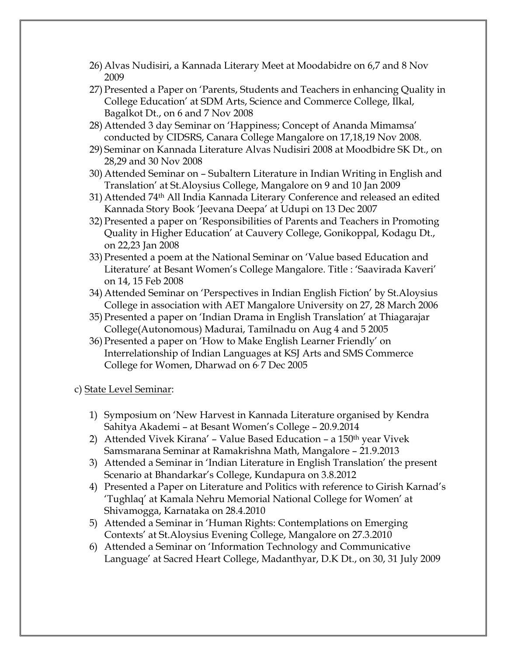- 26) Alvas Nudisiri, a Kannada Literary Meet at Moodabidre on 6,7 and 8 Nov 2009
- 27) Presented a Paper on 'Parents, Students and Teachers in enhancing Quality in College Education' at SDM Arts, Science and Commerce College, Ilkal, Bagalkot Dt., on 6 and 7 Nov 2008
- 28) Attended 3 day Seminar on 'Happiness; Concept of Ananda Mimamsa' conducted by CIDSRS, Canara College Mangalore on 17,18,19 Nov 2008.
- 29) Seminar on Kannada Literature Alvas Nudisiri 2008 at Moodbidre SK Dt., on 28,29 and 30 Nov 2008
- 30) Attended Seminar on Subaltern Literature in Indian Writing in English and Translation' at St.Aloysius College, Mangalore on 9 and 10 Jan 2009
- 31) Attended 74th All India Kannada Literary Conference and released an edited Kannada Story Book 'Jeevana Deepa' at Udupi on 13 Dec 2007
- 32) Presented a paper on 'Responsibilities of Parents and Teachers in Promoting Quality in Higher Education' at Cauvery College, Gonikoppal, Kodagu Dt., on 22,23 Jan 2008
- 33) Presented a poem at the National Seminar on 'Value based Education and Literature' at Besant Women's College Mangalore. Title : 'Saavirada Kaveri' on 14, 15 Feb 2008
- 34) Attended Seminar on 'Perspectives in Indian English Fiction' by St.Aloysius College in association with AET Mangalore University on 27, 28 March 2006
- 35) Presented a paper on 'Indian Drama in English Translation' at Thiagarajar College(Autonomous) Madurai, Tamilnadu on Aug 4 and 5 2005
- 36) Presented a paper on 'How to Make English Learner Friendly' on Interrelationship of Indian Languages at KSJ Arts and SMS Commerce College for Women, Dharwad on 6 7 Dec 2005

### c) State Level Seminar:

- 1) Symposium on 'New Harvest in Kannada Literature organised by Kendra Sahitya Akademi – at Besant Women's College – 20.9.2014
- 2) Attended Vivek Kirana' Value Based Education a 150<sup>th</sup> year Vivek Samsmarana Seminar at Ramakrishna Math, Mangalore – 21.9.2013
- 3) Attended a Seminar in 'Indian Literature in English Translation' the present Scenario at Bhandarkar's College, Kundapura on 3.8.2012
- 4) Presented a Paper on Literature and Politics with reference to Girish Karnad's 'Tughlaq' at Kamala Nehru Memorial National College for Women' at Shivamogga, Karnataka on 28.4.2010
- 5) Attended a Seminar in 'Human Rights: Contemplations on Emerging Contexts' at St.Aloysius Evening College, Mangalore on 27.3.2010
- 6) Attended a Seminar on 'Information Technology and Communicative Language' at Sacred Heart College, Madanthyar, D.K Dt., on 30, 31 July 2009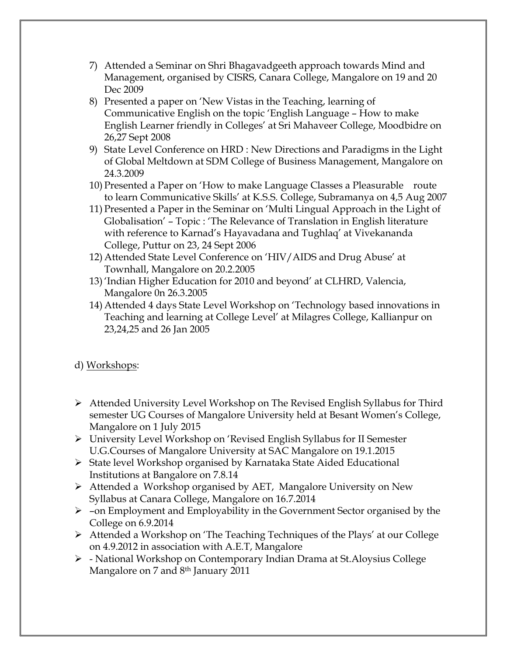- 7) Attended a Seminar on Shri Bhagavadgeeth approach towards Mind and Management, organised by CISRS, Canara College, Mangalore on 19 and 20 Dec 2009
- 8) Presented a paper on 'New Vistas in the Teaching, learning of Communicative English on the topic 'English Language – How to make English Learner friendly in Colleges' at Sri Mahaveer College, Moodbidre on 26,27 Sept 2008
- 9) State Level Conference on HRD : New Directions and Paradigms in the Light of Global Meltdown at SDM College of Business Management, Mangalore on 24.3.2009
- 10) Presented a Paper on 'How to make Language Classes a Pleasurable route to learn Communicative Skills' at K.S.S. College, Subramanya on 4,5 Aug 2007
- 11) Presented a Paper in the Seminar on 'Multi Lingual Approach in the Light of Globalisation' – Topic : 'The Relevance of Translation in English literature with reference to Karnad's Hayavadana and Tughlaq' at Vivekananda College, Puttur on 23, 24 Sept 2006
- 12) Attended State Level Conference on 'HIV/AIDS and Drug Abuse' at Townhall, Mangalore on 20.2.2005
- 13) 'Indian Higher Education for 2010 and beyond' at CLHRD, Valencia, Mangalore 0n 26.3.2005
- 14) Attended 4 days State Level Workshop on 'Technology based innovations in Teaching and learning at College Level' at Milagres College, Kallianpur on 23,24,25 and 26 Jan 2005

# d) Workshops:

- $\triangleright$  Attended University Level Workshop on The Revised English Syllabus for Third semester UG Courses of Mangalore University held at Besant Women's College, Mangalore on 1 July 2015
- $\triangleright$  University Level Workshop on 'Revised English Syllabus for II Semester U.G.Courses of Mangalore University at SAC Mangalore on 19.1.2015
- Ø State level Workshop organised by Karnataka State Aided Educational Institutions at Bangalore on 7.8.14
- $\triangleright$  Attended a Workshop organised by AET, Mangalore University on New Syllabus at Canara College, Mangalore on 16.7.2014
- $\triangleright$  -on Employment and Employability in the Government Sector organised by the College on 6.9.2014
- $\triangleright$  Attended a Workshop on 'The Teaching Techniques of the Plays' at our College on 4.9.2012 in association with A.E.T, Mangalore
- $\triangleright$  National Workshop on Contemporary Indian Drama at St. Aloysius College Mangalore on 7 and 8<sup>th</sup> January 2011